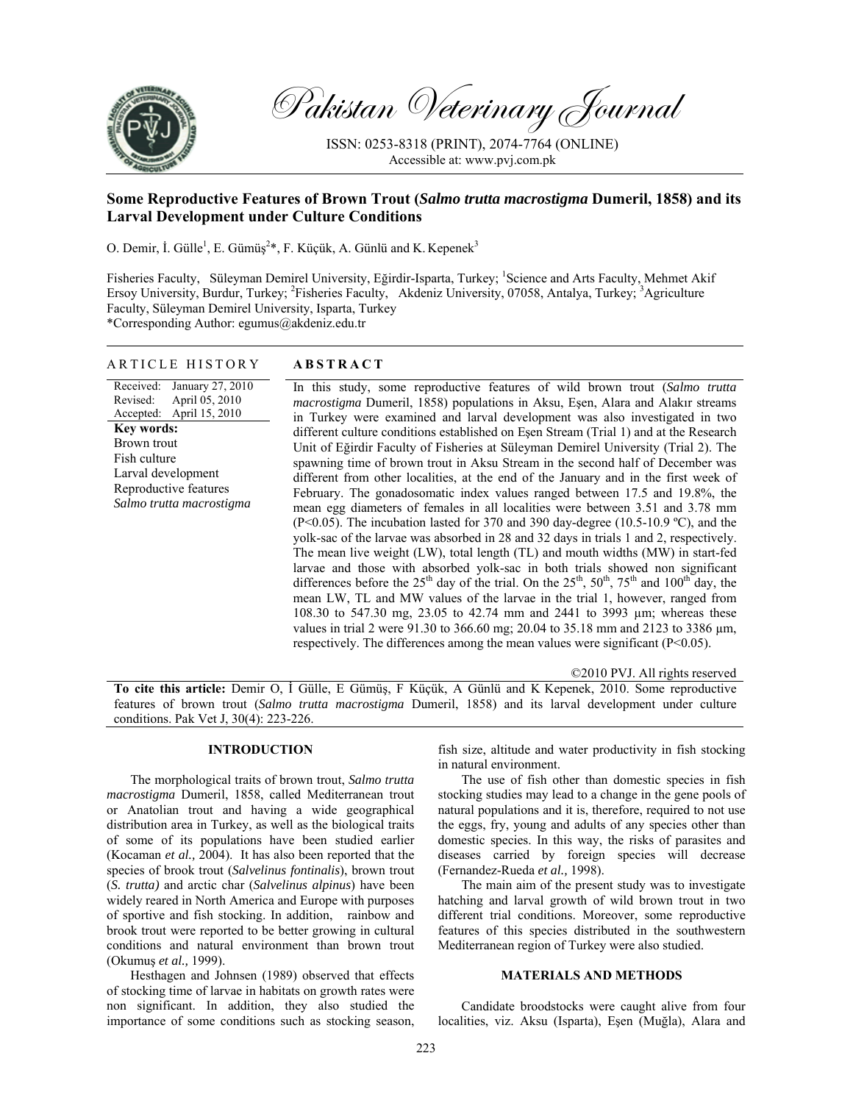

Pakistan Veterinary Journal

ISSN: 0253-8318 (PRINT), 2074-7764 (ONLINE) Accessible at: www.pvj.com.pk

# **Some Reproductive Features of Brown Trout (***Salmo trutta macrostigma* **Dumeril, 1858) and its Larval Development under Culture Conditions**

O. Demir, İ. Gülle<sup>1</sup>, E. Gümüş<sup>2\*</sup>, F. Küçük, A. Günlü and K. Kepenek<sup>3</sup>

Fisheries Faculty, Süleyman Demirel University, Eğirdir-Isparta, Turkey; <sup>1</sup>Science and Arts Faculty, Mehmet Akif Ersoy University, Burdur, Turkey; <sup>2</sup>Fisheries Faculty, Akdeniz University, 07058, Antalya, Turkey; <sup>3</sup>Agriculture Faculty, Süleyman Demirel University, Isparta, Turkey \*Corresponding Author: egumus@akdeniz.edu.tr

| ARTICLE HISTORY<br><b>ABSTRACT</b> |  |
|------------------------------------|--|
|------------------------------------|--|

Received: Revised: Accepted: January 27, 2010 April 05, 2010 April 15, 2010 **Key words:**  Brown trout Fish culture Larval development Reproductive features *Salmo trutta macrostigma*

In this study, some reproductive features of wild brown trout (*Salmo trutta macrostigma* Dumeril, 1858) populations in Aksu, Eşen, Alara and Alakır streams in Turkey were examined and larval development was also investigated in two different culture conditions established on Eşen Stream (Trial 1) and at the Research Unit of Eğirdir Faculty of Fisheries at Süleyman Demirel University (Trial 2). The spawning time of brown trout in Aksu Stream in the second half of December was different from other localities, at the end of the January and in the first week of February. The gonadosomatic index values ranged between 17.5 and 19.8%, the mean egg diameters of females in all localities were between 3.51 and 3.78 mm (P<0.05). The incubation lasted for 370 and 390 day-degree (10.5-10.9 °C), and the yolk-sac of the larvae was absorbed in 28 and 32 days in trials 1 and 2, respectively. The mean live weight (LW), total length (TL) and mouth widths (MW) in start-fed larvae and those with absorbed yolk-sac in both trials showed non significant differences before the  $25<sup>th</sup>$  day of the trial. On the  $25<sup>th</sup>$ ,  $50<sup>th</sup>$ ,  $75<sup>th</sup>$  and  $100<sup>th</sup>$  day, the mean LW, TL and MW values of the larvae in the trial 1, however, ranged from 108.30 to 547.30 mg, 23.05 to 42.74 mm and 2441 to 3993 µm; whereas these values in trial 2 were 91.30 to 366.60 mg; 20.04 to 35.18 mm and 2123 to 3386 µm, respectively. The differences among the mean values were significant (P<0.05).

©2010 PVJ. All rights reserved

**To cite this article:** Demir O, İ Gülle, E Gümüş, F Küçük, A Günlü and K Kepenek, 2010. Some reproductive features of brown trout (*Salmo trutta macrostigma* Dumeril, 1858) and its larval development under culture conditions. Pak Vet J, 30(4): 223-226.

# **INTRODUCTION**

The morphological traits of brown trout, *Salmo trutta macrostigma* Dumeril, 1858, called Mediterranean trout or Anatolian trout and having a wide geographical distribution area in Turkey, as well as the biological traits of some of its populations have been studied earlier (Kocaman *et al.,* 2004). It has also been reported that the species of brook trout (*Salvelinus fontinalis*), brown trout (*S. trutta)* and arctic char (*Salvelinus alpinus*) have been widely reared in North America and Europe with purposes of sportive and fish stocking. In addition, rainbow and brook trout were reported to be better growing in cultural conditions and natural environment than brown trout (Okumuş *et al.,* 1999).

Hesthagen and Johnsen (1989) observed that effects of stocking time of larvae in habitats on growth rates were non significant. In addition, they also studied the importance of some conditions such as stocking season,

fish size, altitude and water productivity in fish stocking in natural environment.

The use of fish other than domestic species in fish stocking studies may lead to a change in the gene pools of natural populations and it is, therefore, required to not use the eggs, fry, young and adults of any species other than domestic species. In this way, the risks of parasites and diseases carried by foreign species will decrease (Fernandez-Rueda *et al.,* 1998).

The main aim of the present study was to investigate hatching and larval growth of wild brown trout in two different trial conditions. Moreover, some reproductive features of this species distributed in the southwestern Mediterranean region of Turkey were also studied.

# **MATERIALS AND METHODS**

Candidate broodstocks were caught alive from four localities, viz. Aksu (Isparta), Eşen (Muğla), Alara and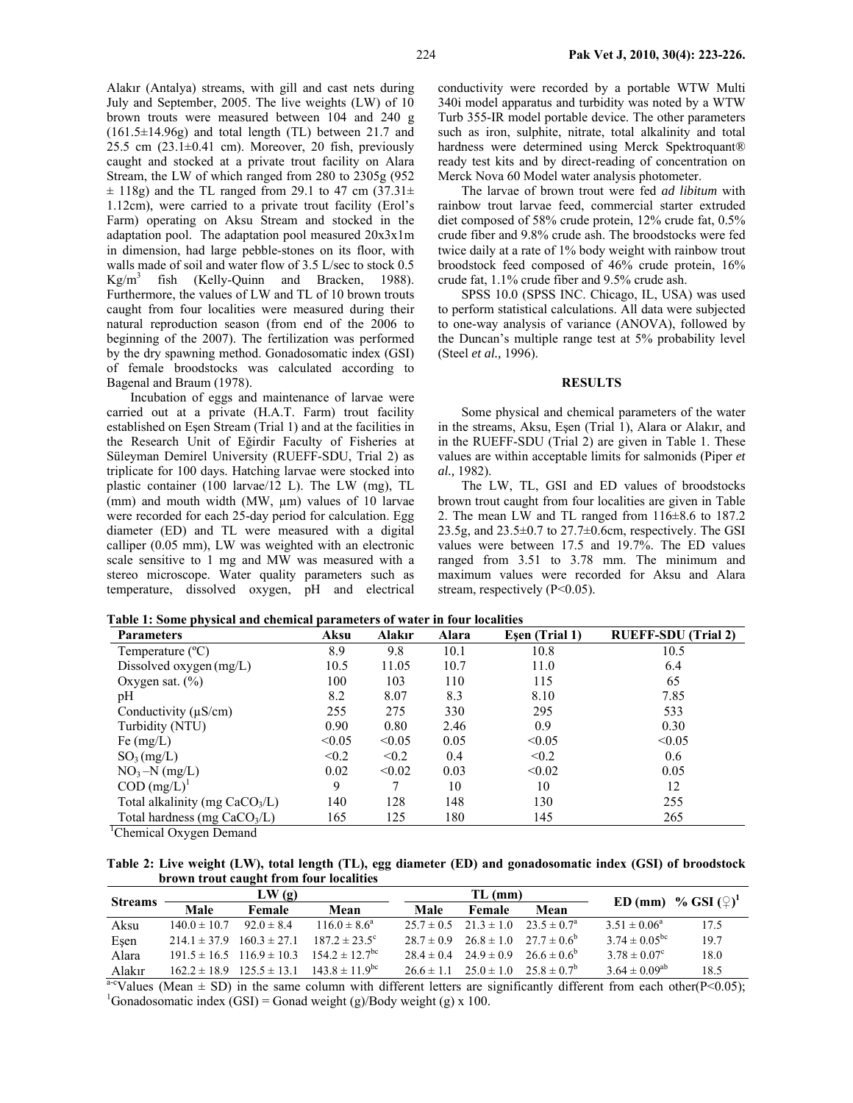Alakır (Antalya) streams, with gill and cast nets during July and September, 2005. The live weights (LW) of 10 brown trouts were measured between 104 and 240 g (161.5±14.96g) and total length (TL) between 21.7 and 25.5 cm  $(23.1 \pm 0.41$  cm). Moreover, 20 fish, previously caught and stocked at a private trout facility on Alara Stream, the LW of which ranged from 280 to 2305g (952  $\pm$  118g) and the TL ranged from 29.1 to 47 cm (37.31 $\pm$ 1.12cm), were carried to a private trout facility (Erol's Farm) operating on Aksu Stream and stocked in the adaptation pool. The adaptation pool measured 20x3x1m in dimension, had large pebble-stones on its floor, with walls made of soil and water flow of 3.5 L/sec to stock 0.5  $Kg/m<sup>3</sup>$  fish (Kelly-Quinn and Bracken, 1988). Furthermore, the values of LW and TL of 10 brown trouts caught from four localities were measured during their natural reproduction season (from end of the 2006 to beginning of the 2007). The fertilization was performed by the dry spawning method. Gonadosomatic index (GSI) of female broodstocks was calculated according to Bagenal and Braum (1978).

Incubation of eggs and maintenance of larvae were carried out at a private (H.A.T. Farm) trout facility established on Eşen Stream (Trial 1) and at the facilities in the Research Unit of Eğirdir Faculty of Fisheries at Süleyman Demirel University (RUEFF-SDU, Trial 2) as triplicate for 100 days. Hatching larvae were stocked into plastic container (100 larvae/12 L). The LW (mg), TL (mm) and mouth width (MW, µm) values of 10 larvae were recorded for each 25-day period for calculation. Egg diameter (ED) and TL were measured with a digital calliper (0.05 mm), LW was weighted with an electronic scale sensitive to 1 mg and MW was measured with a stereo microscope. Water quality parameters such as temperature, dissolved oxygen, pH and electrical

conductivity were recorded by a portable WTW Multi 340i model apparatus and turbidity was noted by a WTW Turb 355-IR model portable device. The other parameters such as iron, sulphite, nitrate, total alkalinity and total hardness were determined using Merck Spektroquant® ready test kits and by direct-reading of concentration on Merck Nova 60 Model water analysis photometer.

The larvae of brown trout were fed *ad libitum* with rainbow trout larvae feed, commercial starter extruded diet composed of 58% crude protein, 12% crude fat, 0.5% crude fiber and 9.8% crude ash. The broodstocks were fed twice daily at a rate of 1% body weight with rainbow trout broodstock feed composed of 46% crude protein, 16% crude fat, 1.1% crude fiber and 9.5% crude ash.

SPSS 10.0 (SPSS INC. Chicago, IL, USA) was used to perform statistical calculations. All data were subjected to one-way analysis of variance (ANOVA), followed by the Duncan's multiple range test at 5% probability level (Steel *et al.,* 1996).

#### **RESULTS**

Some physical and chemical parameters of the water in the streams, Aksu, Eşen (Trial 1), Alara or Alakır, and in the RUEFF-SDU (Trial 2) are given in Table 1. These values are within acceptable limits for salmonids (Piper *et al.,* 1982).

The LW, TL, GSI and ED values of broodstocks brown trout caught from four localities are given in Table 2. The mean LW and TL ranged from 116±8.6 to 187.2 23.5g, and  $23.5\pm0.7$  to  $27.7\pm0.6$ cm, respectively. The GSI values were between 17.5 and 19.7%. The ED values ranged from 3.51 to 3.78 mm. The minimum and maximum values were recorded for Aksu and Alara stream, respectively (P<0.05).

**Table 1: Some physical and chemical parameters of water in four localities** 

| <b>Parameters</b>                | Aksu   | Alakır | Alara | Esen (Trial 1) | <b>RUEFF-SDU</b> (Trial 2) |
|----------------------------------|--------|--------|-------|----------------|----------------------------|
| Temperature $(^{\circ}C)$        | 8.9    | 9.8    | 10.1  | 10.8           | 10.5                       |
| Dissolved oxygen (mg/L)          | 10.5   | 11.05  | 10.7  | 11.0           | 6.4                        |
| Oxygen sat. $(\% )$              | 100    | 103    | 110   | 115            | 65                         |
| pH                               | 8.2    | 8.07   | 8.3   | 8.10           | 7.85                       |
| Conductivity $(\mu S/cm)$        | 255    | 275    | 330   | 295            | 533                        |
| Turbidity (NTU)                  | 0.90   | 0.80   | 2.46  | 0.9            | 0.30                       |
| Fe $(mg/L)$                      | < 0.05 | < 0.05 | 0.05  | < 0.05         | < 0.05                     |
| $SO_3(mg/L)$                     | < 0.2  | < 0.2  | 0.4   | < 0.2          | 0.6                        |
| $NO_3-N$ (mg/L)                  | 0.02   | < 0.02 | 0.03  | < 0.02         | 0.05                       |
| $COD (mg/L)^1$                   | 9      |        | 10    | 10             | 12                         |
| Total alkalinity (mg $CaCO3/L$ ) | 140    | 128    | 148   | 130            | 255                        |
| Total hardness (mg $CaCO3/L$ )   | 165    | 125    | 180   | 145            | 265                        |
| $\Gamma$                         |        |        |       |                |                            |

<sup>1</sup>Chemical Oxygen Demand

**Table 2: Live weight (LW), total length (TL), egg diameter (ED) and gonadosomatic index (GSI) of broodstock brown trout caught from four localities** 

| <b>Streams</b> | LW(g)                             |                                   |                                                                  |      | TL (mm)       |                                                           | ED (mm) % GSI $(\mathcal{Q})^1$ |      |
|----------------|-----------------------------------|-----------------------------------|------------------------------------------------------------------|------|---------------|-----------------------------------------------------------|---------------------------------|------|
|                | Male                              | <b>Female</b>                     | Mean                                                             | Male | <b>Female</b> | Mean                                                      |                                 |      |
| Aksu           | $140.0 \pm 10.7$                  | $92.0 \pm 8.4$                    | $116.0 \pm 8.6^a$                                                |      |               | $25.7 \pm 0.5$ $21.3 \pm 1.0$ $23.5 \pm 0.7^{\circ}$      | 3.51 $\pm$ 0.06 <sup>a</sup>    | 175  |
| Esen           | $214.1 \pm 37.9$ $160.3 \pm 27.1$ |                                   | $187.2 \pm 23.5$ °                                               |      |               | $28.7 \pm 0.9$ $26.8 \pm 1.0$ $27.7 \pm 0.6^{\circ}$      | $3.74 \pm 0.05^{\rm bc}$        | 197  |
| Alara          |                                   |                                   | $191.5 \pm 16.5$ $116.9 \pm 10.3$ $154.2 \pm 12.7$ <sup>bc</sup> |      |               | $28.4 \pm 0.4$ $24.9 \pm 0.9$ $26.6 \pm 0.6^{\circ}$      | $3.78 \pm 0.07^{\circ}$         | 18.0 |
| Alakır         |                                   | $162.2 \pm 18.9$ $125.5 \pm 13.1$ | $143.8 \pm 11.9$ <sup>bc</sup>                                   |      |               | $26.6 \pm 1.1$ $25.0 \pm 1.0$ $25.8 \pm 0.7$ <sup>b</sup> | $3.64 \pm 0.09^{ab}$            | 18.5 |

 $a-c$ Values (Mean  $\pm$  SD) in the same column with different letters are significantly different from each other(P<0.05); <sup>1</sup>Gonadosomatic index (GSI) = Gonad weight (g)/Body weight (g) x 100.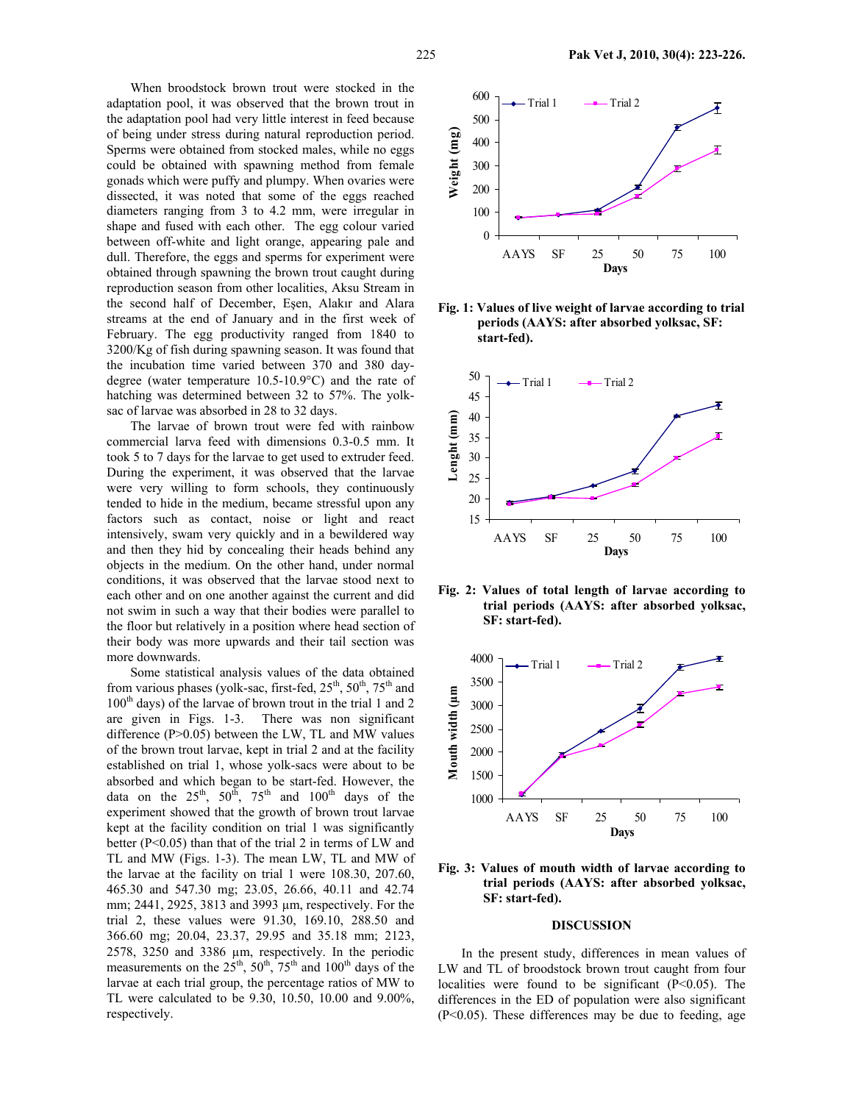When broodstock brown trout were stocked in the adaptation pool, it was observed that the brown trout in the adaptation pool had very little interest in feed because of being under stress during natural reproduction period. Sperms were obtained from stocked males, while no eggs could be obtained with spawning method from female gonads which were puffy and plumpy. When ovaries were dissected, it was noted that some of the eggs reached diameters ranging from 3 to 4.2 mm, were irregular in shape and fused with each other. The egg colour varied between off-white and light orange, appearing pale and dull. Therefore, the eggs and sperms for experiment were obtained through spawning the brown trout caught during reproduction season from other localities, Aksu Stream in the second half of December, Eşen, Alakır and Alara streams at the end of January and in the first week of February. The egg productivity ranged from 1840 to 3200/Kg of fish during spawning season. It was found that the incubation time varied between 370 and 380 daydegree (water temperature 10.5-10.9°C) and the rate of hatching was determined between 32 to 57%. The yolksac of larvae was absorbed in 28 to 32 days.

The larvae of brown trout were fed with rainbow commercial larva feed with dimensions 0.3-0.5 mm. It took 5 to 7 days for the larvae to get used to extruder feed. During the experiment, it was observed that the larvae were very willing to form schools, they continuously tended to hide in the medium, became stressful upon any factors such as contact, noise or light and react intensively, swam very quickly and in a bewildered way and then they hid by concealing their heads behind any objects in the medium. On the other hand, under normal conditions, it was observed that the larvae stood next to each other and on one another against the current and did not swim in such a way that their bodies were parallel to the floor but relatively in a position where head section of their body was more upwards and their tail section was more downwards.

Some statistical analysis values of the data obtained from various phases (yolk-sac, first-fed,  $25<sup>th</sup>$ ,  $50<sup>th</sup>$ ,  $75<sup>th</sup>$  and 100<sup>th</sup> days) of the larvae of brown trout in the trial 1 and 2 are given in Figs. 1-3. There was non significant difference (P>0.05) between the LW, TL and MW values of the brown trout larvae, kept in trial 2 and at the facility established on trial 1, whose yolk-sacs were about to be absorbed and which began to be start-fed. However, the data on the  $25<sup>th</sup>$ ,  $50<sup>th</sup>$ ,  $75<sup>th</sup>$  and  $100<sup>th</sup>$  days of the experiment showed that the growth of brown trout larvae kept at the facility condition on trial 1 was significantly better  $(P<0.05)$  than that of the trial 2 in terms of LW and TL and MW (Figs. 1-3). The mean LW, TL and MW of the larvae at the facility on trial 1 were 108.30, 207.60, 465.30 and 547.30 mg; 23.05, 26.66, 40.11 and 42.74 mm; 2441, 2925, 3813 and 3993 µm, respectively. For the trial 2, these values were 91.30, 169.10, 288.50 and 366.60 mg; 20.04, 23.37, 29.95 and 35.18 mm; 2123, 2578, 3250 and 3386 µm, respectively. In the periodic measurements on the  $25<sup>th</sup>$ ,  $50<sup>th</sup>$ ,  $75<sup>th</sup>$  and  $100<sup>th</sup>$  days of the larvae at each trial group, the percentage ratios of MW to TL were calculated to be 9.30, 10.50, 10.00 and 9.00%, respectively.



**Fig. 1: Values of live weight of larvae according to trial periods (AAYS: after absorbed yolksac, SF: start-fed).** 



**Fig. 2: Values of total length of larvae according to trial periods (AAYS: after absorbed yolksac, SF: start-fed).** 



**Fig. 3: Values of mouth width of larvae according to trial periods (AAYS: after absorbed yolksac, SF: start-fed).** 

#### **DISCUSSION**

In the present study, differences in mean values of LW and TL of broodstock brown trout caught from four localities were found to be significant  $(P<0.05)$ . The differences in the ED of population were also significant (P<0.05). These differences may be due to feeding, age